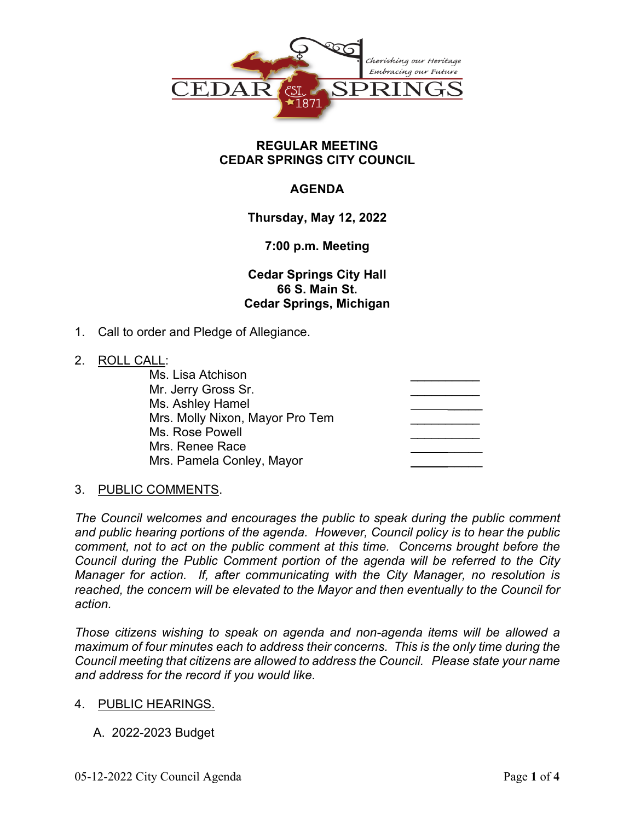

### **REGULAR MEETING CEDAR SPRINGS CITY COUNCIL**

# **AGENDA**

# **Thursday, May 12, 2022**

# **7:00 p.m. Meeting**

**Cedar Springs City Hall 66 S. Main St. Cedar Springs, Michigan**

1. Call to order and Pledge of Allegiance.

## 2. ROLL CALL:

| Ms. Lisa Atchison               |  |
|---------------------------------|--|
| Mr. Jerry Gross Sr.             |  |
| Ms. Ashley Hamel                |  |
| Mrs. Molly Nixon, Mayor Pro Tem |  |
| Ms. Rose Powell                 |  |
| Mrs. Renee Race                 |  |
| Mrs. Pamela Conley, Mayor       |  |
|                                 |  |

# 3. PUBLIC COMMENTS.

*The Council welcomes and encourages the public to speak during the public comment and public hearing portions of the agenda. However, Council policy is to hear the public comment, not to act on the public comment at this time. Concerns brought before the Council during the Public Comment portion of the agenda will be referred to the City Manager for action. If, after communicating with the City Manager, no resolution is reached, the concern will be elevated to the Mayor and then eventually to the Council for action.*

*Those citizens wishing to speak on agenda and non-agenda items will be allowed a maximum of four minutes each to address their concerns. This is the only time during the Council meeting that citizens are allowed to address the Council. Please state your name and address for the record if you would like.*

### 4. PUBLIC HEARINGS.

A. 2022-2023 Budget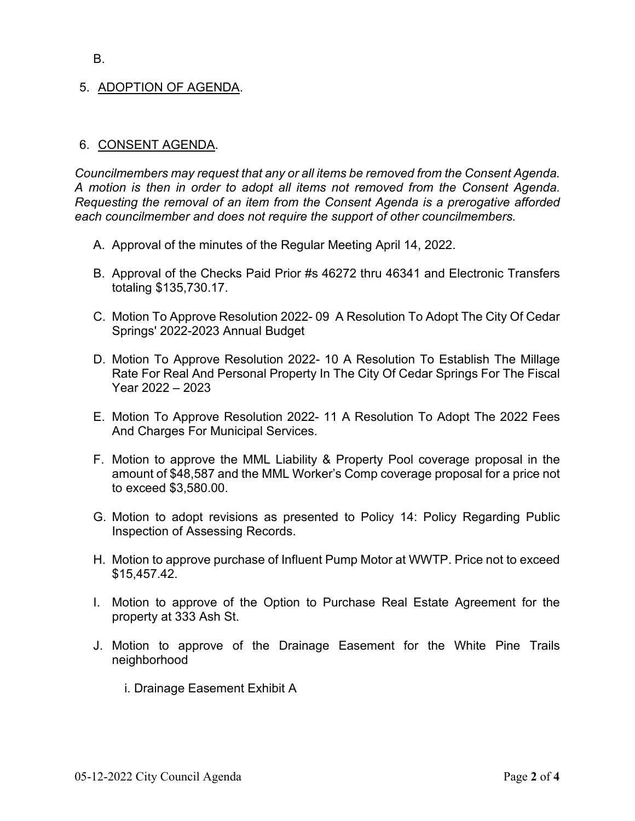#### B.

## 5. ADOPTION OF AGENDA.

### 6. CONSENT AGENDA.

*Councilmembers may request that any or all items be removed from the Consent Agenda. A motion is then in order to adopt all items not removed from the Consent Agenda. Requesting the removal of an item from the Consent Agenda is a prerogative afforded each councilmember and does not require the support of other councilmembers.*

- A. Approval of the minutes of the Regular Meeting April 14, 2022.
- B. Approval of the Checks Paid Prior #s 46272 thru 46341 and Electronic Transfers totaling \$135,730.17.
- C. Motion To Approve Resolution 2022- 09 A Resolution To Adopt The City Of Cedar Springs' 2022-2023 Annual Budget
- D. Motion To Approve Resolution 2022- 10 A Resolution To Establish The Millage Rate For Real And Personal Property In The City Of Cedar Springs For The Fiscal Year 2022 – 2023
- E. Motion To Approve Resolution 2022- 11 A Resolution To Adopt The 2022 Fees And Charges For Municipal Services.
- F. Motion to approve the MML Liability & Property Pool coverage proposal in the amount of \$48,587 and the MML Worker's Comp coverage proposal for a price not to exceed \$3,580.00.
- G. Motion to adopt revisions as presented to Policy 14: Policy Regarding Public Inspection of Assessing Records.
- H. Motion to approve purchase of Influent Pump Motor at WWTP. Price not to exceed \$15,457.42.
- I. Motion to approve of the Option to Purchase Real Estate Agreement for the property at 333 Ash St.
- J. Motion to approve of the Drainage Easement for the White Pine Trails neighborhood
	- i. Drainage Easement Exhibit A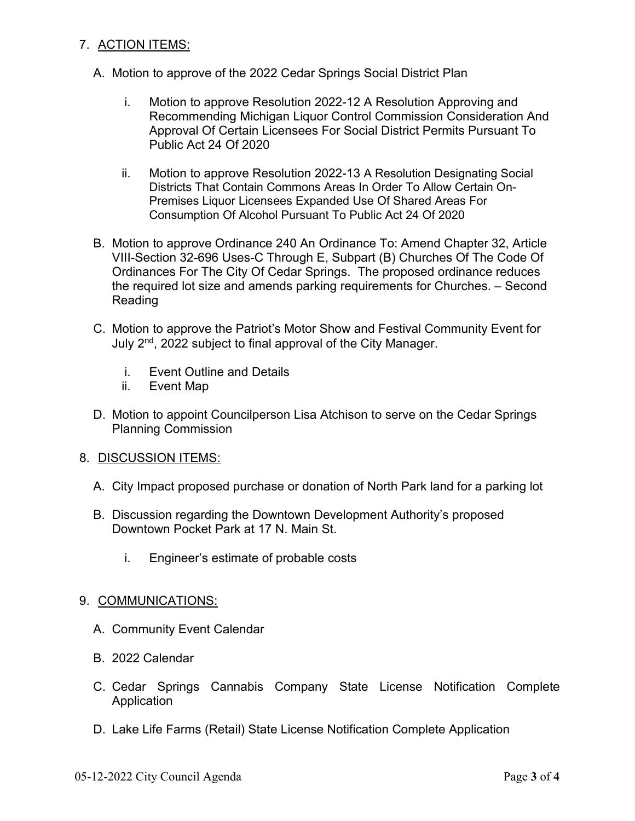## 7. ACTION ITEMS:

- A. Motion to approve of the 2022 Cedar Springs Social District Plan
	- i. Motion to approve Resolution 2022-12 A Resolution Approving and Recommending Michigan Liquor Control Commission Consideration And Approval Of Certain Licensees For Social District Permits Pursuant To Public Act 24 Of 2020
	- ii. Motion to approve Resolution 2022-13 A Resolution Designating Social Districts That Contain Commons Areas In Order To Allow Certain On-Premises Liquor Licensees Expanded Use Of Shared Areas For Consumption Of Alcohol Pursuant To Public Act 24 Of 2020
- B. Motion to approve Ordinance 240 An Ordinance To: Amend Chapter 32, Article VIII-Section 32-696 Uses-C Through E, Subpart (B) Churches Of The Code Of Ordinances For The City Of Cedar Springs. The proposed ordinance reduces the required lot size and amends parking requirements for Churches. – Second Reading
- C. Motion to approve the Patriot's Motor Show and Festival Community Event for July 2<sup>nd</sup>, 2022 subject to final approval of the City Manager.
	- i. Event Outline and Details
	- ii. Event Map
- D. Motion to appoint Councilperson Lisa Atchison to serve on the Cedar Springs Planning Commission
- 8. DISCUSSION ITEMS:
	- A. City Impact proposed purchase or donation of North Park land for a parking lot
	- B. Discussion regarding the Downtown Development Authority's proposed Downtown Pocket Park at 17 N. Main St.
		- i. Engineer's estimate of probable costs

### 9. COMMUNICATIONS:

- A. Community Event Calendar
- B. 2022 Calendar
- C. Cedar Springs Cannabis Company State License Notification Complete Application
- D. Lake Life Farms (Retail) State License Notification Complete Application